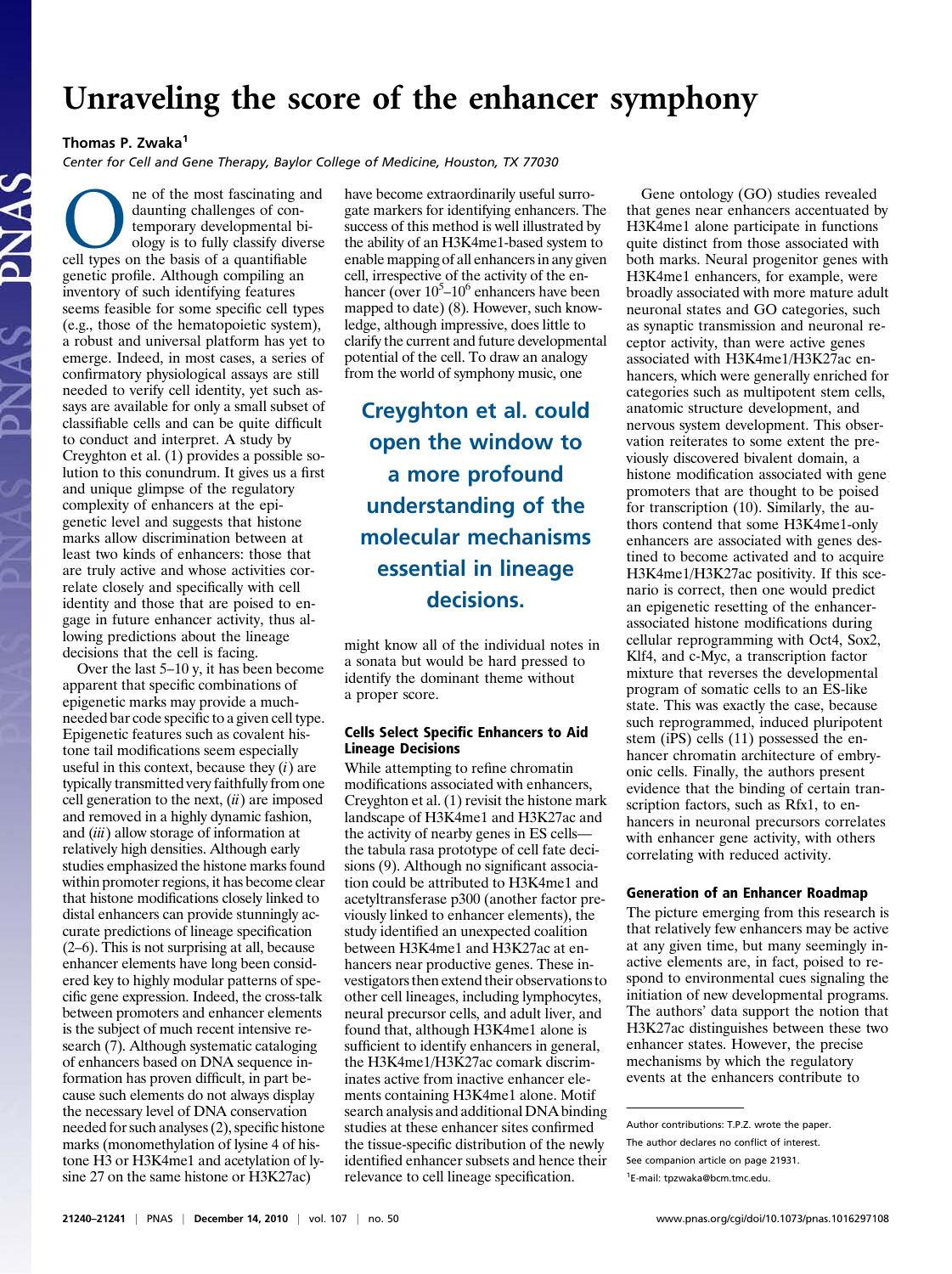## Unraveling the score of the enhancer symphony

Thomas P. Zwaka<sup>1</sup>

Center for Cell and Gene Therapy, Baylor College of Medicine, Houston, TX 77030

The of the most fascinating and<br>daunting challenges of con-<br>temporary developmental bi-<br>ology is to fully classify diverse<br>cell types on the basis of a quantifiable daunting challenges of contemporary developmental biology is to fully classify diverse genetic profile. Although compiling an inventory of such identifying features seems feasible for some specific cell types (e.g., those of the hematopoietic system), a robust and universal platform has yet to emerge. Indeed, in most cases, a series of confirmatory physiological assays are still needed to verify cell identity, yet such assays are available for only a small subset of classifiable cells and can be quite difficult to conduct and interpret. A study by Creyghton et al. (1) provides a possible solution to this conundrum. It gives us a first and unique glimpse of the regulatory complexity of enhancers at the epigenetic level and suggests that histone marks allow discrimination between at least two kinds of enhancers: those that are truly active and whose activities correlate closely and specifically with cell identity and those that are poised to engage in future enhancer activity, thus allowing predictions about the lineage decisions that the cell is facing.

Over the last 5–10 y, it has been become apparent that specific combinations of epigenetic marks may provide a muchneeded bar code specific to a given cell type. Epigenetic features such as covalent histone tail modifications seem especially useful in this context, because they  $(i)$  are typically transmitted very faithfully from one cell generation to the next,  $(ii)$  are imposed and removed in a highly dynamic fashion, and (iii) allow storage of information at relatively high densities. Although early studies emphasized the histone marks found within promoter regions, it has become clear that histone modifications closely linked to distal enhancers can provide stunningly accurate predictions of lineage specification (2–6). This is not surprising at all, because enhancer elements have long been considered key to highly modular patterns of specific gene expression. Indeed, the cross-talk between promoters and enhancer elements is the subject of much recent intensive research (7). Although systematic cataloging of enhancers based on DNA sequence information has proven difficult, in part because such elements do not always display the necessary level of DNA conservation needed for such analyses (2), specific histone marks (monomethylation of lysine 4 of histone H3 or H3K4me1 and acetylation of lysine 27 on the same histone or H3K27ac)

have become extraordinarily useful surrogate markers for identifying enhancers. The success of this method is well illustrated by the ability of an H3K4me1-based system to enable mapping of all enhancers in any given cell, irrespective of the activity of the enhancer (over  $10^5$ – $10^6$  enhancers have been mapped to date) (8). However, such knowledge, although impressive, does little to clarify the current and future developmental potential of the cell. To draw an analogy from the world of symphony music, one

Creyghton et al. could open the window to a more profound understanding of the molecular mechanisms essential in lineage decisions.

might know all of the individual notes in a sonata but would be hard pressed to identify the dominant theme without a proper score.

## Cells Select Specific Enhancers to Aid Lineage Decisions

While attempting to refine chromatin modifications associated with enhancers, Creyghton et al. (1) revisit the histone mark landscape of H3K4me1 and H3K27ac and the activity of nearby genes in ES cells the tabula rasa prototype of cell fate decisions (9). Although no significant association could be attributed to H3K4me1 and acetyltransferase p300 (another factor previously linked to enhancer elements), the study identified an unexpected coalition between H3K4me1 and H3K27ac at enhancers near productive genes. These investigators then extend their observations to other cell lineages, including lymphocytes, neural precursor cells, and adult liver, and found that, although H3K4me1 alone is sufficient to identify enhancers in general, the H3K4me1/H3K27ac comark discriminates active from inactive enhancer elements containing H3K4me1 alone. Motif search analysis and additional DNA binding studies at these enhancer sites confirmed the tissue-specific distribution of the newly identified enhancer subsets and hence their relevance to cell lineage specification.

Gene ontology (GO) studies revealed that genes near enhancers accentuated by H3K4me1 alone participate in functions quite distinct from those associated with both marks. Neural progenitor genes with H3K4me1 enhancers, for example, were broadly associated with more mature adult neuronal states and GO categories, such as synaptic transmission and neuronal receptor activity, than were active genes associated with H3K4me1/H3K27ac enhancers, which were generally enriched for categories such as multipotent stem cells, anatomic structure development, and nervous system development. This observation reiterates to some extent the previously discovered bivalent domain, a histone modification associated with gene promoters that are thought to be poised for transcription (10). Similarly, the authors contend that some H3K4me1-only enhancers are associated with genes destined to become activated and to acquire H3K4me1/H3K27ac positivity. If this scenario is correct, then one would predict an epigenetic resetting of the enhancerassociated histone modifications during cellular reprogramming with Oct4, Sox2, Klf4, and c-Myc, a transcription factor mixture that reverses the developmental program of somatic cells to an ES-like state. This was exactly the case, because such reprogrammed, induced pluripotent stem (iPS) cells (11) possessed the enhancer chromatin architecture of embryonic cells. Finally, the authors present evidence that the binding of certain transcription factors, such as Rfx1, to enhancers in neuronal precursors correlates with enhancer gene activity, with others correlating with reduced activity.

## Generation of an Enhancer Roadmap

The picture emerging from this research is that relatively few enhancers may be active at any given time, but many seemingly inactive elements are, in fact, poised to respond to environmental cues signaling the initiation of new developmental programs. The authors' data support the notion that H3K27ac distinguishes between these two enhancer states. However, the precise mechanisms by which the regulatory events at the enhancers contribute to

Author contributions: T.P.Z. wrote the paper.

The author declares no conflict of interest.

See companion article on page 21931.

<sup>1</sup> E-mail: [tpzwaka@bcm.tmc.edu](mailto:tpzwaka@bcm.tmc.edu).